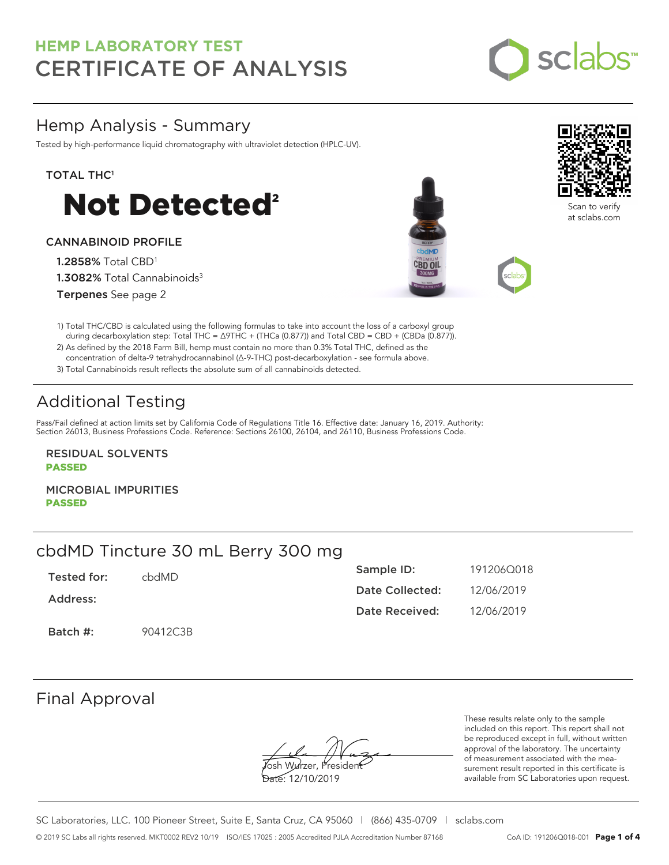

## Hemp Analysis - Summary

Tested by high-performance liquid chromatography with ultraviolet detection (HPLC-UV).

### TOTAL THC<sup>1</sup>



### CANNABINOID PROFILE

1.2858% Total CBD<sup>1</sup> 1.3082% Total Cannabinoids<sup>3</sup> Terpenes See page 2





Scan to verify at sclabs.com

1) Total THC/CBD is calculated using the following formulas to take into account the loss of a carboxyl group during decarboxylation step: Total THC = ∆9THC + (THCa (0.877)) and Total CBD = CBD + (CBDa (0.877)).

2) As defined by the 2018 Farm Bill, hemp must contain no more than 0.3% Total THC, defined as the concentration of delta-9 tetrahydrocannabinol (Δ-9-THC) post-decarboxylation - see formula above.

3) Total Cannabinoids result reflects the absolute sum of all cannabinoids detected.

# Additional Testing

Pass/Fail defined at action limits set by California Code of Regulations Title 16. Effective date: January 16, 2019. Authority: Section 26013, Business Professions Code. Reference: Sections 26100, 26104, and 26110, Business Professions Code.

RESIDUAL SOLVENTS PASSED

MICROBIAL IMPURITIES PASSED

## cbdMD Tincture 30 mL Berry 300 mg

| Tested for: | chdMD.   | Sample ID:      | 191206Q018 |
|-------------|----------|-----------------|------------|
| Address:    |          | Date Collected: | 12/06/2019 |
|             |          | Date Received:  | 12/06/2019 |
| Batch #:    | 90412C3B |                 |            |

## Final Approval

**J**osh Wurzer, Presiden<del>t</del>

Date: 12/10/2019

These results relate only to the sample included on this report. This report shall not be reproduced except in full, without written approval of the laboratory. The uncertainty of measurement associated with the measurement result reported in this certificate is available from SC Laboratories upon request.

SC Laboratories, LLC. 100 Pioneer Street, Suite E, Santa Cruz, CA 95060 | (866) 435-0709 | sclabs.com © 2019 SC Labs all rights reserved. MKT0002 REV2 10/19 ISO/IES 17025 : 2005 Accredited PJLA Accreditation Number 87168 CoA ID: 191206Q018-001 **Page 1 of 4**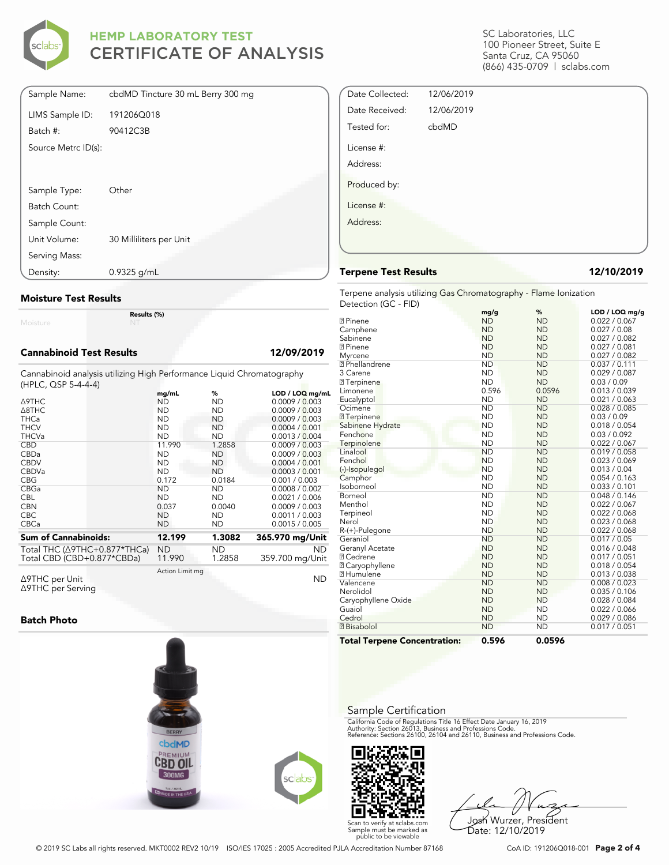

| Sample Name:        | cbdMD Tincture 30 mL Berry 300 mg |
|---------------------|-----------------------------------|
| LIMS Sample ID:     | 191206Q018                        |
| Batch #:            | 90412C3B                          |
| Source Metrc ID(s): |                                   |
|                     |                                   |
|                     |                                   |
| Sample Type:        | Other                             |
| Batch Count:        |                                   |
| Sample Count:       |                                   |
| Unit Volume:        | 30 Milliliters per Unit           |
| Serving Mass:       |                                   |
| Density:            | $0.9325$ g/mL                     |

#### **Moisture Test Results**

Moisture

#### **Cannabinoid Test Results 12/09/2019**

Cannabinoid analysis utilizing High Performance Liquid Chromatography (HPLC, QSP 5-4-4-4)

**Results (%)**

|                              | mg/mL           | %         | $LOD / LOQ$ mg/mL |
|------------------------------|-----------------|-----------|-------------------|
| ∆9THC                        | ND              | ND        | 0.0009 / 0.003    |
| A8THC                        | <b>ND</b>       | <b>ND</b> | 0.0009 / 0.003    |
| <b>THCa</b>                  | <b>ND</b>       | <b>ND</b> | 0.0009 / 0.003    |
| <b>THCV</b>                  | <b>ND</b>       | <b>ND</b> | 0.0004 / 0.001    |
| <b>THCVa</b>                 | <b>ND</b>       | <b>ND</b> | 0.0013 / 0.004    |
| <b>CBD</b>                   | 11.990          | 1.2858    | 0.0009 / 0.003    |
| <b>CBDa</b>                  | <b>ND</b>       | <b>ND</b> | 0.0009 / 0.003    |
| <b>CBDV</b>                  | <b>ND</b>       | <b>ND</b> | 0.0004/0.001      |
| <b>CBDVa</b>                 | <b>ND</b>       | <b>ND</b> | 0.0003 / 0.001    |
| <b>CBG</b>                   | 0.172           | 0.0184    | 0.001 / 0.003     |
| CBGa                         | <b>ND</b>       | <b>ND</b> | 0.0008 / 0.002    |
| <b>CBL</b>                   | <b>ND</b>       | <b>ND</b> | 0.0021 / 0.006    |
| <b>CBN</b>                   | 0.037           | 0.0040    | 0.0009 / 0.003    |
| <b>CBC</b>                   | <b>ND</b>       | <b>ND</b> | 0.0011 / 0.003    |
| <b>CBCa</b>                  | <b>ND</b>       | ND        | 0.0015 / 0.005    |
|                              |                 |           |                   |
| <b>Sum of Cannabinoids:</b>  | 12.199          | 1.3082    | 365.970 mg/Unit   |
| Total THC (Δ9THC+0.877*THCa) | <b>ND</b>       | ND        | <b>ND</b>         |
| Total CBD (CBD+0.877*CBDa)   | 11.990          | 1.2858    | 359.700 mg/Unit   |
|                              | Action Limit mg |           |                   |
| ∆9THC per Unit               |                 |           | <b>ND</b>         |

Δ9THC per Unit Δ9THC per Serving

#### **Batch Photo**



License #: Address: **Terpene Test Results 12/10/2019** Terpene analysis utilizing Gas Chromatography - Flame Ionization Detection (GC - FID) **mg/g % LOD / LOQ mg/g** α Pinene Camphene ND ND 0.022 / 0.067<br>ND ND 0.027 / 0.08

Date Collected: 12/06/2019 Date Received: 12/06/2019 Tested for: cbdMD

License #: Address:

Produced by:

SC Laboratories, LLC 100 Pioneer Street, Suite E Santa Cruz, CA 95060 (866) 435-0709 | sclabs.com

| <b>Total Terpene Concentration:</b> | 0.596     | 0.0596    |               |
|-------------------------------------|-----------|-----------|---------------|
| <b>Bisabolol</b>                    | <b>ND</b> | <b>ND</b> | 0.017 / 0.051 |
| Cedrol                              | <b>ND</b> | <b>ND</b> | 0.029 / 0.086 |
| Guaiol                              | <b>ND</b> | <b>ND</b> | 0.022 / 0.066 |
| Caryophyllene Oxide                 | <b>ND</b> | <b>ND</b> | 0.028 / 0.084 |
| Nerolidol                           | <b>ND</b> | <b>ND</b> | 0.035 / 0.106 |
| Valencene                           | <b>ND</b> | <b>ND</b> | 0.008 / 0.023 |
| <b>7 Humulene</b>                   | <b>ND</b> | <b>ND</b> | 0.013 / 0.038 |
| <b>7 Caryophyllene</b>              | <b>ND</b> | <b>ND</b> | 0.018 / 0.054 |
| ® Cedrene                           | <b>ND</b> | <b>ND</b> | 0.017 / 0.051 |
| Geranyl Acetate                     | <b>ND</b> | <b>ND</b> | 0.016 / 0.048 |
| Geraniol                            | <b>ND</b> | <b>ND</b> | 0.017 / 0.05  |
| R-(+)-Pulegone                      | <b>ND</b> | <b>ND</b> | 0.022 / 0.068 |
| Nerol                               | <b>ND</b> | <b>ND</b> | 0.023 / 0.068 |
| Terpineol                           | <b>ND</b> | <b>ND</b> | 0.022 / 0.068 |
| Menthol                             | <b>ND</b> | <b>ND</b> | 0.022 / 0.067 |
| Borneol                             | <b>ND</b> | <b>ND</b> | 0.048 / 0.146 |
| Isoborneol                          | <b>ND</b> | <b>ND</b> | 0.033 / 0.101 |
| Camphor                             | <b>ND</b> | <b>ND</b> | 0.054 / 0.163 |
| (-)-Isopulegol                      | <b>ND</b> | <b>ND</b> | 0.013 / 0.04  |
| Fenchol                             | <b>ND</b> | <b>ND</b> | 0.023 / 0.069 |
| Linalool                            | <b>ND</b> | <b>ND</b> | 0.019 / 0.058 |
| Terpinolene                         | <b>ND</b> | <b>ND</b> | 0.022 / 0.067 |
| Fenchone                            | <b>ND</b> | <b>ND</b> | 0.03 / 0.092  |
| Sabinene Hydrate                    | <b>ND</b> | <b>ND</b> | 0.018 / 0.054 |
| <b>7</b> Terpinene                  | <b>ND</b> | <b>ND</b> | 0.03 / 0.09   |
| Ocimene                             | <b>ND</b> | <b>ND</b> | 0.028 / 0.085 |
| Eucalyptol                          | <b>ND</b> | <b>ND</b> | 0.021 / 0.063 |
| Limonene                            | 0.596     | 0.0596    | 0.013 / 0.039 |
| <b>7</b> Terpinene                  | <b>ND</b> | <b>ND</b> | 0.03 / 0.09   |
| 3 Carene                            | <b>ND</b> | <b>ND</b> | 0.029 / 0.087 |
| <b>7</b> Phellandrene               | <b>ND</b> | <b>ND</b> | 0.037 / 0.111 |
| Myrcene                             | <b>ND</b> | <b>ND</b> | 0.027 / 0.082 |
| <b>7</b> Pinene                     | <b>ND</b> | <b>ND</b> | 0.027 / 0.081 |
| Sabinene                            | <b>ND</b> | <b>ND</b> | 0.027 / 0.082 |
| Camphene                            | <b>ND</b> | <b>ND</b> | 0.027 / 0.08  |

#### Sample Certification

California Code of Regulations Title 16 Effect Date January 16, 2019<br>Authority: Section 26013, Business and Professions Code.<br>Reference: Sections 26100, 26104 and 26110, Business and Professions Code.



Josh Wurzer, President Date: 12/10/2019

© 2019 SC Labs all rights reserved. MKT0002 REV2 10/19 ISO/IES 17025 : 2005 Accredited PJLA Accreditation Number 87168 CoA ID: 191206Q018-001 **Page 2 of 4**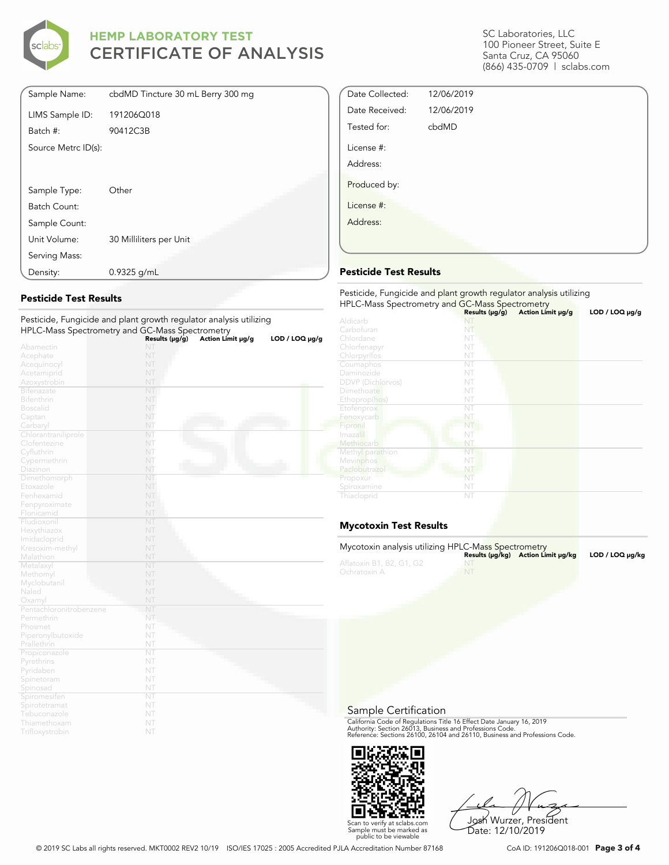

| Sample Name:        | cbdMD Tincture 30 mL Berry 300 mg |
|---------------------|-----------------------------------|
| LIMS Sample ID:     | 191206Q018                        |
| Batch #:            | 90412C3B                          |
| Source Metrc ID(s): |                                   |
|                     |                                   |
|                     |                                   |
| Sample Type:        | Other                             |
| Batch Count:        |                                   |
| Sample Count:       |                                   |
| Unit Volume:        | 30 Milliliters per Unit           |
| Serving Mass:       |                                   |
| Density:            | $0.9325$ g/mL                     |

#### **Pesticide Test Results**

| Pesticide, Fungicide and plant growth regulator analysis utilizing |                        |                   |                     |
|--------------------------------------------------------------------|------------------------|-------------------|---------------------|
| HPLC-Mass Spectrometry and GC-Mass Spectrometry                    |                        |                   |                     |
|                                                                    | Results (µg/g)         | Action Limit µg/g | $LOD / LOQ \mu g/g$ |
| Abamectin                                                          | NT                     |                   |                     |
| Acephate                                                           | NT                     |                   |                     |
| Acequinocyl                                                        | NT                     |                   |                     |
| Acetamiprid                                                        | NT                     |                   |                     |
| Azoxystrobin                                                       | NT                     |                   |                     |
| <b>Bifenazate</b>                                                  | NT                     |                   |                     |
| <b>Bifenthrin</b>                                                  | NT                     |                   |                     |
| <b>Boscalid</b>                                                    | NT                     |                   |                     |
| Captan                                                             | NT                     |                   |                     |
| Carbaryl                                                           | NT                     |                   |                     |
| Chlorantraniliprole                                                | NT                     |                   |                     |
| Clofentezine                                                       | NT                     |                   |                     |
| Cyfluthrin                                                         | NT                     |                   |                     |
| Cypermethrin                                                       | NT                     |                   |                     |
| Diazinon                                                           | NT                     |                   |                     |
| Dimethomorph                                                       | NT                     |                   |                     |
| Etoxazole                                                          | NT                     |                   |                     |
| Fenhexamid                                                         | NT                     |                   |                     |
| Fenpyroximate                                                      | NT                     |                   |                     |
| Flonicamid                                                         | NT                     |                   |                     |
| Fludioxonil                                                        | NT                     |                   |                     |
| Hexythiazox                                                        | NT                     |                   |                     |
| Imidacloprid                                                       | NT                     |                   |                     |
| Kresoxim-methyl                                                    | NT                     |                   |                     |
| Malathion                                                          | NT                     |                   |                     |
| Metalaxyl                                                          | NT                     |                   |                     |
| Methomyl                                                           | NT                     |                   |                     |
| Myclobutanil                                                       | NT                     |                   |                     |
| Naled                                                              | NT                     |                   |                     |
| Oxamyl                                                             | NT                     |                   |                     |
| Pentachloronitrobenzene                                            | NT                     |                   |                     |
| Permethrin                                                         | NT                     |                   |                     |
| Phosmet                                                            | NT                     |                   |                     |
| Piperonylbutoxide                                                  | NT                     |                   |                     |
| Prallethrin                                                        | NT                     |                   |                     |
| Propiconazole                                                      | NT                     |                   |                     |
| Pyrethrins                                                         | NT                     |                   |                     |
| Pyridaben                                                          | NT                     |                   |                     |
| Spinetoram                                                         | NT                     |                   |                     |
| Spinosad                                                           | NT                     |                   |                     |
| Spiromesiten                                                       | $\overline{\text{NT}}$ |                   |                     |
| Spirotetramat                                                      | NT                     |                   |                     |
| Tebuconazole                                                       | NT                     |                   |                     |
| Thiamethoxam                                                       | NT                     |                   |                     |
| Trifloxystrobin                                                    | NT                     |                   |                     |

SC Laboratories, LLC 100 Pioneer Street, Suite E Santa Cruz, CA 95060 (866) 435-0709 | sclabs.com

| Date Collected: | 12/06/2019 |  |
|-----------------|------------|--|
| Date Received:  | 12/06/2019 |  |
| Tested for:     | cbdMD      |  |
| License #:      |            |  |
| Address:        |            |  |
| Produced by:    |            |  |
| License #:      |            |  |
| Address:        |            |  |
|                 |            |  |

### **Pesticide Test Results**

| Pesticide, Fungicide and plant growth regulator analysis utilizing<br>HPLC-Mass Spectrometry and GC-Mass Spectrometry |                |                   |                |  |
|-----------------------------------------------------------------------------------------------------------------------|----------------|-------------------|----------------|--|
|                                                                                                                       | Results (µg/g) | Action Limit µg/g | LOD / LOQ µg/g |  |
| Aldicarb                                                                                                              |                |                   |                |  |
| Carbofuran                                                                                                            | NT             |                   |                |  |
| Chlordane                                                                                                             | NT             |                   |                |  |
| Chlorfenapyr                                                                                                          | NT             |                   |                |  |
| Chlorpyrifos                                                                                                          | NT             |                   |                |  |
| Coumaphos                                                                                                             | NT             |                   |                |  |
| Daminozide                                                                                                            | NT             |                   |                |  |
| <b>DDVP</b> (Dichlorvos)                                                                                              | NT             |                   |                |  |
| Dimethoate                                                                                                            | NT             |                   |                |  |
| Ethoprop(hos)                                                                                                         | NT             |                   |                |  |
| Etofenprox                                                                                                            | NT             |                   |                |  |
| Fenoxycarb                                                                                                            | NT             |                   |                |  |
| Fipronil                                                                                                              | NT             |                   |                |  |
| Imazalil                                                                                                              | NT             |                   |                |  |
| Methiocarb                                                                                                            | NT             |                   |                |  |
| Methyl parathion                                                                                                      | NT             |                   |                |  |
| Mevinphos                                                                                                             | NT             |                   |                |  |
| Paclobutrazol                                                                                                         | NT             |                   |                |  |
| Propoxur                                                                                                              | NT             |                   |                |  |
| Spiroxamine                                                                                                           | NT             |                   |                |  |
| Thiacloprid                                                                                                           | NT             |                   |                |  |

### **Mycotoxin Test Results**

| Mycotoxin analysis utilizing HPLC-Mass Spectrometry |           |                                    |                 |
|-----------------------------------------------------|-----------|------------------------------------|-----------------|
|                                                     |           | Results (µq/kq) Action Limit µq/kq | LOD / LOQ µq/kq |
| Aflatoxin B1, B2, G1, G2                            |           |                                    |                 |
| Ochratoxin A                                        | <b>NT</b> |                                    |                 |
|                                                     |           |                                    |                 |

Sample Certification

California Code of Regulations Title 16 Effect Date January 16, 2019<br>Authority: Section 26013, Business and Professions Code.<br>Reference: Sections 26100, 26104 and 26110, Business and Professions Code.



Josh Wurzer, President Date: 12/10/2019

© 2019 SC Labs all rights reserved. MKT0002 REV2 10/19 ISO/IES 17025 : 2005 Accredited PJLA Accreditation Number 87168 CoA ID: 191206Q018-001 **Page 3 of 4**